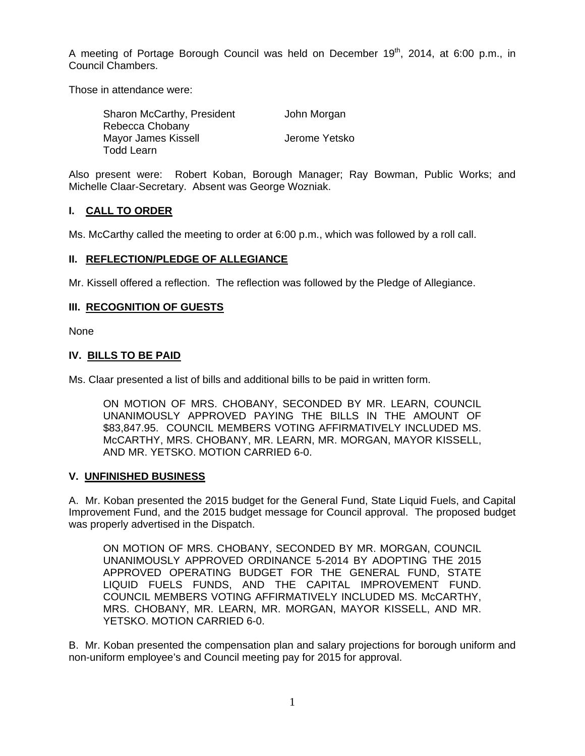A meeting of Portage Borough Council was held on December 19<sup>th</sup>, 2014, at 6:00 p.m., in Council Chambers.

Those in attendance were:

| Sharon McCarthy, President | John Morgan   |
|----------------------------|---------------|
| Rebecca Chobany            |               |
| Mayor James Kissell        | Jerome Yetsko |
| Todd Learn                 |               |

Also present were: Robert Koban, Borough Manager; Ray Bowman, Public Works; and Michelle Claar-Secretary. Absent was George Wozniak.

# **I. CALL TO ORDER**

Ms. McCarthy called the meeting to order at 6:00 p.m., which was followed by a roll call.

### **II. REFLECTION/PLEDGE OF ALLEGIANCE**

Mr. Kissell offered a reflection. The reflection was followed by the Pledge of Allegiance.

## **III. RECOGNITION OF GUESTS**

None

### **IV. BILLS TO BE PAID**

Ms. Claar presented a list of bills and additional bills to be paid in written form.

ON MOTION OF MRS. CHOBANY, SECONDED BY MR. LEARN, COUNCIL UNANIMOUSLY APPROVED PAYING THE BILLS IN THE AMOUNT OF \$83,847.95. COUNCIL MEMBERS VOTING AFFIRMATIVELY INCLUDED MS. McCARTHY, MRS. CHOBANY, MR. LEARN, MR. MORGAN, MAYOR KISSELL, AND MR. YETSKO. MOTION CARRIED 6-0.

### **V. UNFINISHED BUSINESS**

A. Mr. Koban presented the 2015 budget for the General Fund, State Liquid Fuels, and Capital Improvement Fund, and the 2015 budget message for Council approval. The proposed budget was properly advertised in the Dispatch.

ON MOTION OF MRS. CHOBANY, SECONDED BY MR. MORGAN, COUNCIL UNANIMOUSLY APPROVED ORDINANCE 5-2014 BY ADOPTING THE 2015 APPROVED OPERATING BUDGET FOR THE GENERAL FUND, STATE LIQUID FUELS FUNDS, AND THE CAPITAL IMPROVEMENT FUND. COUNCIL MEMBERS VOTING AFFIRMATIVELY INCLUDED MS. McCARTHY, MRS. CHOBANY, MR. LEARN, MR. MORGAN, MAYOR KISSELL, AND MR. YETSKO. MOTION CARRIED 6-0.

B. Mr. Koban presented the compensation plan and salary projections for borough uniform and non-uniform employee's and Council meeting pay for 2015 for approval.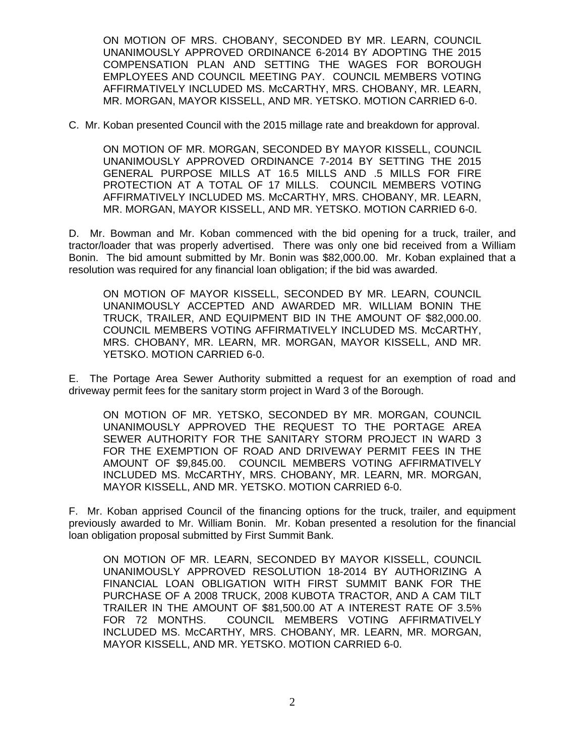ON MOTION OF MRS. CHOBANY, SECONDED BY MR. LEARN, COUNCIL UNANIMOUSLY APPROVED ORDINANCE 6-2014 BY ADOPTING THE 2015 COMPENSATION PLAN AND SETTING THE WAGES FOR BOROUGH EMPLOYEES AND COUNCIL MEETING PAY. COUNCIL MEMBERS VOTING AFFIRMATIVELY INCLUDED MS. McCARTHY, MRS. CHOBANY, MR. LEARN, MR. MORGAN, MAYOR KISSELL, AND MR. YETSKO. MOTION CARRIED 6-0.

C. Mr. Koban presented Council with the 2015 millage rate and breakdown for approval.

ON MOTION OF MR. MORGAN, SECONDED BY MAYOR KISSELL, COUNCIL UNANIMOUSLY APPROVED ORDINANCE 7-2014 BY SETTING THE 2015 GENERAL PURPOSE MILLS AT 16.5 MILLS AND .5 MILLS FOR FIRE PROTECTION AT A TOTAL OF 17 MILLS. COUNCIL MEMBERS VOTING AFFIRMATIVELY INCLUDED MS. McCARTHY, MRS. CHOBANY, MR. LEARN, MR. MORGAN, MAYOR KISSELL, AND MR. YETSKO. MOTION CARRIED 6-0.

D. Mr. Bowman and Mr. Koban commenced with the bid opening for a truck, trailer, and tractor/loader that was properly advertised. There was only one bid received from a William Bonin. The bid amount submitted by Mr. Bonin was \$82,000.00. Mr. Koban explained that a resolution was required for any financial loan obligation; if the bid was awarded.

ON MOTION OF MAYOR KISSELL, SECONDED BY MR. LEARN, COUNCIL UNANIMOUSLY ACCEPTED AND AWARDED MR. WILLIAM BONIN THE TRUCK, TRAILER, AND EQUIPMENT BID IN THE AMOUNT OF \$82,000.00. COUNCIL MEMBERS VOTING AFFIRMATIVELY INCLUDED MS. McCARTHY, MRS. CHOBANY, MR. LEARN, MR. MORGAN, MAYOR KISSELL, AND MR. YETSKO. MOTION CARRIED 6-0.

E. The Portage Area Sewer Authority submitted a request for an exemption of road and driveway permit fees for the sanitary storm project in Ward 3 of the Borough.

ON MOTION OF MR. YETSKO, SECONDED BY MR. MORGAN, COUNCIL UNANIMOUSLY APPROVED THE REQUEST TO THE PORTAGE AREA SEWER AUTHORITY FOR THE SANITARY STORM PROJECT IN WARD 3 FOR THE EXEMPTION OF ROAD AND DRIVEWAY PERMIT FEES IN THE AMOUNT OF \$9,845.00. COUNCIL MEMBERS VOTING AFFIRMATIVELY INCLUDED MS. McCARTHY, MRS. CHOBANY, MR. LEARN, MR. MORGAN, MAYOR KISSELL, AND MR. YETSKO. MOTION CARRIED 6-0.

F. Mr. Koban apprised Council of the financing options for the truck, trailer, and equipment previously awarded to Mr. William Bonin. Mr. Koban presented a resolution for the financial loan obligation proposal submitted by First Summit Bank.

ON MOTION OF MR. LEARN, SECONDED BY MAYOR KISSELL, COUNCIL UNANIMOUSLY APPROVED RESOLUTION 18-2014 BY AUTHORIZING A FINANCIAL LOAN OBLIGATION WITH FIRST SUMMIT BANK FOR THE PURCHASE OF A 2008 TRUCK, 2008 KUBOTA TRACTOR, AND A CAM TILT TRAILER IN THE AMOUNT OF \$81,500.00 AT A INTEREST RATE OF 3.5% FOR 72 MONTHS. COUNCIL MEMBERS VOTING AFFIRMATIVELY INCLUDED MS. McCARTHY, MRS. CHOBANY, MR. LEARN, MR. MORGAN, MAYOR KISSELL, AND MR. YETSKO. MOTION CARRIED 6-0.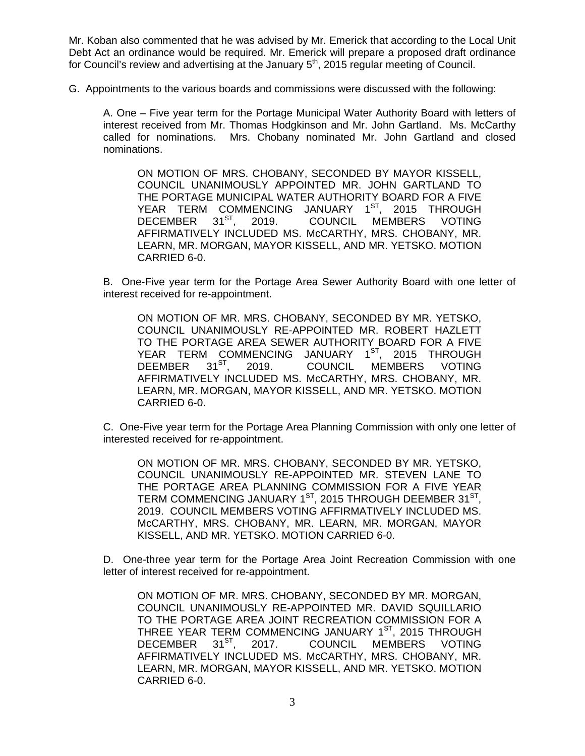Mr. Koban also commented that he was advised by Mr. Emerick that according to the Local Unit Debt Act an ordinance would be required. Mr. Emerick will prepare a proposed draft ordinance for Council's review and advertising at the January  $5<sup>th</sup>$ , 2015 regular meeting of Council.

G. Appointments to the various boards and commissions were discussed with the following:

A. One – Five year term for the Portage Municipal Water Authority Board with letters of interest received from Mr. Thomas Hodgkinson and Mr. John Gartland. Ms. McCarthy called for nominations. Mrs. Chobany nominated Mr. John Gartland and closed nominations.

ON MOTION OF MRS. CHOBANY, SECONDED BY MAYOR KISSELL, COUNCIL UNANIMOUSLY APPOINTED MR. JOHN GARTLAND TO THE PORTAGE MUNICIPAL WATER AUTHORITY BOARD FOR A FIVE YEAR TERM COMMENCING JANUARY 1<sup>ST</sup>, 2015 THROUGH<br>DECEMBER 31<sup>ST</sup>, 2019. COUNCIL MEMBERS VOTING DECEMBER 31<sup>ST</sup>, 2019. COUNCIL MEMBERS VOTING AFFIRMATIVELY INCLUDED MS. McCARTHY, MRS. CHOBANY, MR. LEARN, MR. MORGAN, MAYOR KISSELL, AND MR. YETSKO. MOTION CARRIED 6-0.

B. One-Five year term for the Portage Area Sewer Authority Board with one letter of interest received for re-appointment.

ON MOTION OF MR. MRS. CHOBANY, SECONDED BY MR. YETSKO, COUNCIL UNANIMOUSLY RE-APPOINTED MR. ROBERT HAZLETT TO THE PORTAGE AREA SEWER AUTHORITY BOARD FOR A FIVE YEAR TERM COMMENCING JANUARY 1<sup>ST</sup>, 2015 THROUGH<br>DEEMBER 31<sup>ST</sup>, 2019. COUNCIL MEMBERS VOTING DEEMBER 31<sup>SI</sup>, 2019. COUNCIL MEMBERS VOTING AFFIRMATIVELY INCLUDED MS. McCARTHY, MRS. CHOBANY, MR. LEARN, MR. MORGAN, MAYOR KISSELL, AND MR. YETSKO. MOTION CARRIED 6-0.

C. One-Five year term for the Portage Area Planning Commission with only one letter of interested received for re-appointment.

ON MOTION OF MR. MRS. CHOBANY, SECONDED BY MR. YETSKO, COUNCIL UNANIMOUSLY RE-APPOINTED MR. STEVEN LANE TO THE PORTAGE AREA PLANNING COMMISSION FOR A FIVE YEAR TERM COMMENCING JANUARY 1<sup>ST</sup>, 2015 THROUGH DEEMBER 31<sup>ST</sup>, 2019. COUNCIL MEMBERS VOTING AFFIRMATIVELY INCLUDED MS. McCARTHY, MRS. CHOBANY, MR. LEARN, MR. MORGAN, MAYOR KISSELL, AND MR. YETSKO. MOTION CARRIED 6-0.

D. One-three year term for the Portage Area Joint Recreation Commission with one letter of interest received for re-appointment.

ON MOTION OF MR. MRS. CHOBANY, SECONDED BY MR. MORGAN, COUNCIL UNANIMOUSLY RE-APPOINTED MR. DAVID SQUILLARIO TO THE PORTAGE AREA JOINT RECREATION COMMISSION FOR A THREE YEAR TERM COMMENCING JANUARY 1ST, 2015 THROUGH DECEMBER 31<sup>ST</sup>, 2017. COUNCIL MEMBERS VOTING AFFIRMATIVELY INCLUDED MS. McCARTHY, MRS. CHOBANY, MR. LEARN, MR. MORGAN, MAYOR KISSELL, AND MR. YETSKO. MOTION CARRIED 6-0.